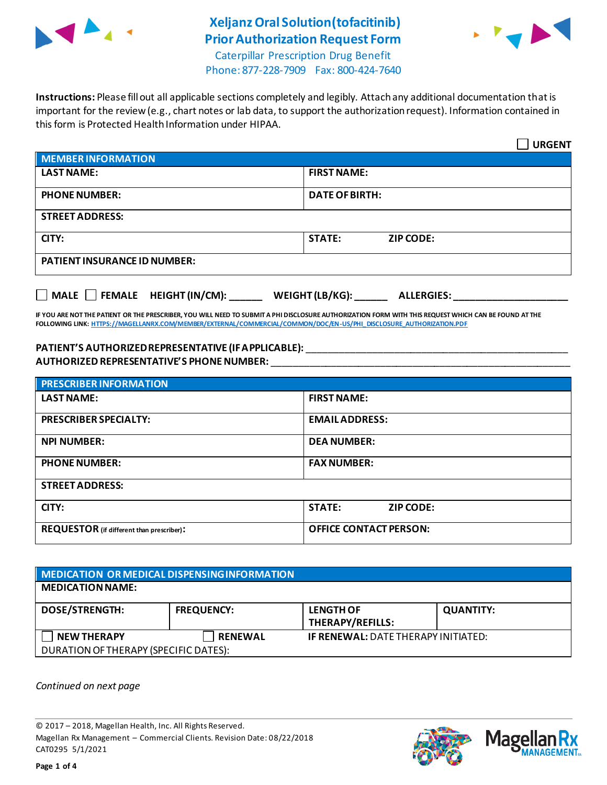

# **Xeljanz Oral Solution(tofacitinib) Prior Authorization Request Form**



Caterpillar Prescription Drug Benefit Phone: 877-228-7909 Fax: 800-424-7640

**Instructions:** Please fill out all applicable sections completely and legibly. Attach any additional documentation that is important for the review (e.g., chart notes or lab data, to support the authorization request). Information contained in this form is Protected Health Information under HIPAA.

|                                                                                   | <b>URGENT</b>                     |  |
|-----------------------------------------------------------------------------------|-----------------------------------|--|
| <b>MEMBER INFORMATION</b>                                                         |                                   |  |
| <b>LAST NAME:</b>                                                                 | <b>FIRST NAME:</b>                |  |
| <b>PHONE NUMBER:</b>                                                              | <b>DATE OF BIRTH:</b>             |  |
| <b>STREET ADDRESS:</b>                                                            |                                   |  |
| CITY:                                                                             | <b>STATE:</b><br><b>ZIP CODE:</b> |  |
| <b>PATIENT INSURANCE ID NUMBER:</b>                                               |                                   |  |
| $\Box$ MALE $\Box$ FEMALE HEIGHT (IN/CM):<br>WEIGHT (LB/KG):<br><b>ALLERGIES:</b> |                                   |  |

**IF YOU ARE NOT THE PATIENT OR THE PRESCRIBER, YOU WILL NEED TO SUBMIT A PHI DISCLOSURE AUTHORIZATION FORM WITH THIS REQUEST WHICH CAN BE FOUND AT THE FOLLOWING LINK[: HTTPS://MAGELLANRX.COM/MEMBER/EXTERNAL/COMMERCIAL/COMMON/DOC/EN-US/PHI\\_DISCLOSURE\\_AUTHORIZATION.PDF](https://magellanrx.com/member/external/commercial/common/doc/en-us/PHI_Disclosure_Authorization.pdf)**

### **PATIENT'S AUTHORIZED REPRESENTATIVE (IF APPLICABLE):** \_\_\_\_\_\_\_\_\_\_\_\_\_\_\_\_\_\_\_\_\_\_\_\_\_\_\_\_\_\_\_\_\_\_\_\_\_\_\_\_\_\_\_\_\_\_\_\_ **AUTHORIZED REPRESENTATIVE'S PHONE NUMBER:** \_\_\_\_\_\_\_\_\_\_\_\_\_\_\_\_\_\_\_\_\_\_\_\_\_\_\_\_\_\_\_\_\_\_\_\_\_\_\_\_\_\_\_\_\_\_\_\_\_\_\_\_\_\_\_

| <b>PRESCRIBER INFORMATION</b>             |                                   |  |  |
|-------------------------------------------|-----------------------------------|--|--|
| <b>LAST NAME:</b>                         | <b>FIRST NAME:</b>                |  |  |
| <b>PRESCRIBER SPECIALTY:</b>              | <b>EMAIL ADDRESS:</b>             |  |  |
| <b>NPI NUMBER:</b>                        | <b>DEA NUMBER:</b>                |  |  |
| <b>PHONE NUMBER:</b>                      | <b>FAX NUMBER:</b>                |  |  |
| <b>STREET ADDRESS:</b>                    |                                   |  |  |
| CITY:                                     | <b>STATE:</b><br><b>ZIP CODE:</b> |  |  |
| REQUESTOR (if different than prescriber): | <b>OFFICE CONTACT PERSON:</b>     |  |  |

### **MEDICATION OR MEDICAL DISPENSING INFORMATION MEDICATION NAME: DOSE/STRENGTH: FREQUENCY: LENGTH OF THERAPY/REFILLS: QUANTITY: NEW THERAPY RENEWAL IF RENEWAL:** DATE THERAPY INITIATED: DURATION OF THERAPY (SPECIFIC DATES):

*Continued on next page*

© 2017 – 2018, Magellan Health, Inc. All Rights Reserved. Magellan Rx Management – Commercial Clients. Revision Date: 08/22/2018 CAT0295 5/1/2021



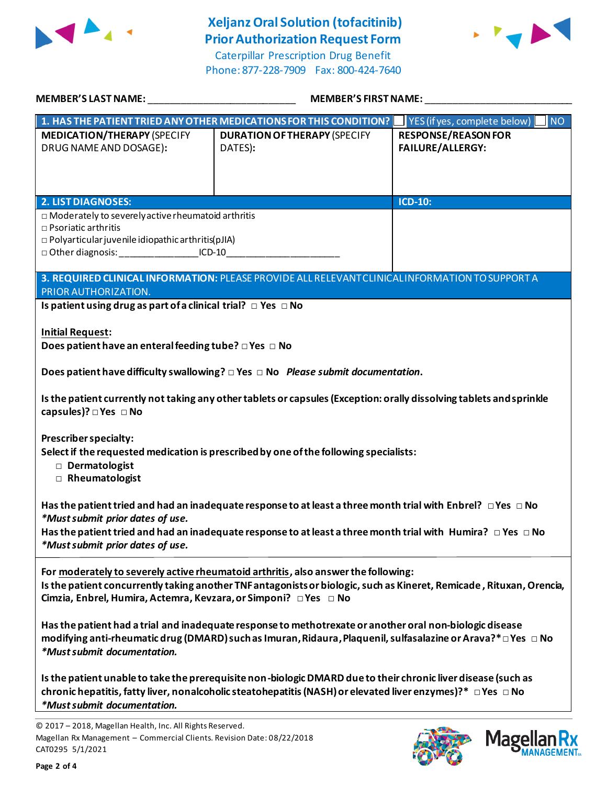

## **Xeljanz Oral Solution (tofacitinib) Prior Authorization Request Form**

Caterpillar Prescription Drug Benefit Phone: 877-228-7909 Fax: 800-424-7640



| MEMBER'S LAST NAME: ______________________________                                                                                                                                                                                     | MEMBER'S FIRST NAME:                                                                                                                                                                                                                             |                                                       |
|----------------------------------------------------------------------------------------------------------------------------------------------------------------------------------------------------------------------------------------|--------------------------------------------------------------------------------------------------------------------------------------------------------------------------------------------------------------------------------------------------|-------------------------------------------------------|
| 1. HAS THE PATIENT TRIED ANY OTHER MEDICATIONS FOR THIS CONDITION?                                                                                                                                                                     |                                                                                                                                                                                                                                                  | YES (if yes, complete below) NO                       |
| <b>MEDICATION/THERAPY (SPECIFY</b><br>DRUG NAME AND DOSAGE):                                                                                                                                                                           | <b>DURATION OF THERAPY (SPECIFY</b><br>DATES):                                                                                                                                                                                                   | <b>RESPONSE/REASON FOR</b><br><b>FAILURE/ALLERGY:</b> |
| <b>2. LIST DIAGNOSES:</b>                                                                                                                                                                                                              |                                                                                                                                                                                                                                                  | <b>ICD-10:</b>                                        |
| $\Box$ Moderately to severely active rheumatoid arthritis<br>$\Box$ Psoriatic arthritis<br>$\Box$ Polyarticular juvenile idiopathic arthritis(pJIA)<br>□ Other diagnosis: ____________________ICD-10__________________________________ |                                                                                                                                                                                                                                                  |                                                       |
| PRIOR AUTHORIZATION.                                                                                                                                                                                                                   | 3. REQUIRED CLINICAL INFORMATION: PLEASE PROVIDE ALL RELEVANT CLINICAL INFORMATION TO SUPPORT A                                                                                                                                                  |                                                       |
| Is patient using drug as part of a clinical trial? $\Box$ Yes $\Box$ No                                                                                                                                                                |                                                                                                                                                                                                                                                  |                                                       |
| <b>Initial Request:</b><br>Does patient have an enteral feeding tube? DYes DNo                                                                                                                                                         |                                                                                                                                                                                                                                                  |                                                       |
| Does patient have difficulty swallowing? $\square$ Yes $\square$ No Please submit documentation.                                                                                                                                       |                                                                                                                                                                                                                                                  |                                                       |
| capsules)? □ Yes □ No                                                                                                                                                                                                                  | Is the patient currently not taking any other tablets or capsules (Exception: orally dissolving tablets and sprinkle                                                                                                                             |                                                       |
| <b>Prescriber specialty:</b><br>Dermatologist<br>Rheumatologist                                                                                                                                                                        | Select if the requested medication is prescribed by one of the following specialists:                                                                                                                                                            |                                                       |
| *Must submit prior dates of use.<br>*Must submit prior dates of use.                                                                                                                                                                   | Has the patient tried and had an inadequate response to at least a three month trial with Enbrel? $\Box$ Yes $\Box$ No<br>Has the patient tried and had an inadequate response to at least a three month trial with Humira? $\Box$ Yes $\Box$ No |                                                       |
| Cimzia, Enbrel, Humira, Actemra, Kevzara, or Simponi? □ Yes □ No                                                                                                                                                                       | For moderately to severely active rheumatoid arthritis, also answer the following:<br>Is the patient concurrently taking another TNF antagonists or biologic, such as Kineret, Remicade, Rituxan, Orencia,                                       |                                                       |
| *Must submit documentation.                                                                                                                                                                                                            | Has the patient had a trial and inadequate response to methotrexate or another oral non-biologic disease<br>modifying anti-rheumatic drug (DMARD) such as Imuran, Ridaura, Plaquenil, sulfasalazine or Arava?* $\Box$ Yes $\Box$ No              |                                                       |
| *Must submit documentation.                                                                                                                                                                                                            | Is the patient unable to take the prerequisite non-biologic DMARD due to their chronic liver disease (such as<br>chronic hepatitis, fatty liver, nonalcoholic steatohepatitis (NASH) or elevated liver enzymes)?* $\Box$ Yes $\Box$ No           |                                                       |
| © 2017 - 2018, Magellan Health, Inc. All Rights Reserved.<br>Magellan Rx Management - Commercial Clients. Revision Date: 08/22/2018<br>CAT0295 5/1/2021                                                                                |                                                                                                                                                                                                                                                  | Magel                                                 |

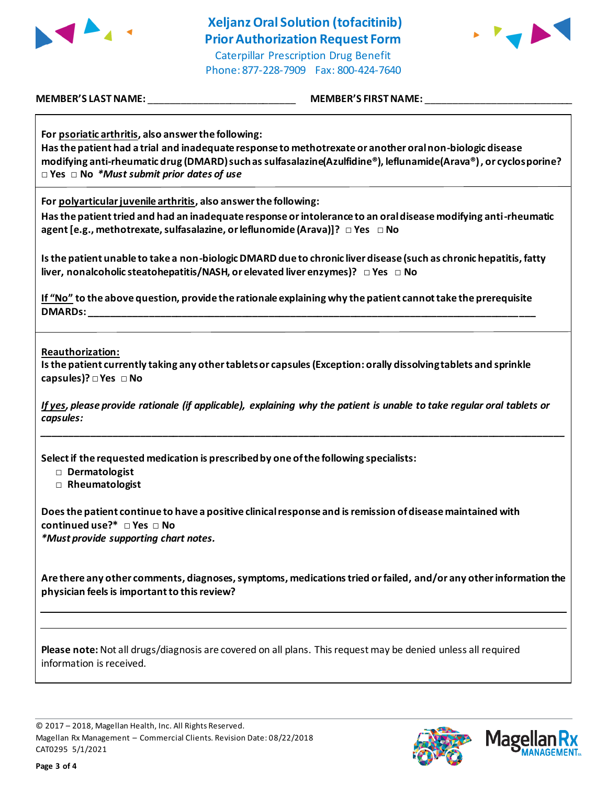

**Xeljanz Oral Solution (tofacitinib) Prior Authorization Request Form** Caterpillar Prescription Drug Benefit Phone: 877-228-7909 Fax: 800-424-7640



**MEMBER'S LAST NAME:** \_\_\_\_\_\_\_\_\_\_\_\_\_\_\_\_\_\_\_\_\_\_\_\_\_\_\_ **MEMBER'S FIRST NAME:** \_\_\_\_\_\_\_\_\_\_\_\_\_\_\_\_\_\_\_\_\_\_\_\_\_\_\_

**For psoriatic arthritis, also answer the following:**

**Has the patient had a trial and inadequate response to methotrexate or another oral non-biologic disease modifying anti-rheumatic drug (DMARD) such as sulfasalazine(Azulfidine®), leflunamide(Arava®) , or cyclosporine? □ Yes □ No** *\*Must submit prior dates of use*

**For polyarticular juvenile arthritis, also answer the following:**

**Has the patient tried and had an inadequate response or intolerance to an oral disease modifying anti-rheumatic agent [e.g., methotrexate, sulfasalazine, or leflunomide (Arava)]? □ Yes □ No**

**Is the patient unable to take a non-biologic DMARD due to chronic liver disease (such as chronic hepatitis, fatty liver, nonalcoholic steatohepatitis/NASH, or elevated liver enzymes)? □ Yes □ No**

**If "No" to the above question, provide the rationale explaining why the patient cannot take the prerequisite DMARDs: \_\_\_\_\_\_\_\_\_\_\_\_\_\_\_\_\_\_\_\_\_\_\_\_\_\_\_\_\_\_\_\_\_\_\_\_\_\_\_\_\_\_\_\_\_\_\_\_\_\_\_\_\_\_\_\_\_\_\_\_\_\_\_\_\_\_\_\_\_\_\_\_\_\_\_\_\_\_\_\_\_\_**

**Reauthorization:**

**Is the patient currently taking any other tablets or capsules (Exception: orally dissolving tablets and sprinkle capsules)? □ Yes □ No**

*If yes, please provide rationale (if applicable), explaining why the patient is unable to take regular oral tablets or capsules:*

*\_\_\_\_\_\_\_\_\_\_\_\_\_\_\_\_\_\_\_\_\_\_\_\_\_\_\_\_\_\_\_\_\_\_\_\_\_\_\_\_\_\_\_\_\_\_\_\_\_\_\_\_\_\_\_\_\_\_\_\_\_\_\_\_\_\_\_\_\_\_\_\_\_\_\_\_\_\_\_\_\_\_\_\_\_\_\_\_\_\_\_\_\_\_\_\_*

**Select if the requested medication is prescribed by one of the following specialists:**

- **□ Dermatologist**
- **□ Rheumatologist**

**Does the patient continue to have a positive clinical response and is remission of disease maintained with continued use?\* □ Yes □ No** *\*Must provide supporting chart notes.*

**Are there any other comments, diagnoses, symptoms, medications tried or failed, and/or any other information the physician feels is important to this review?**

**Please note:** Not all drugs/diagnosis are covered on all plans. This request may be denied unless all required information is received.

© 2017 – 2018, Magellan Health, Inc. All Rights Reserved. Magellan Rx Management – Commercial Clients. Revision Date: 08/22/2018 CAT0295 5/1/2021